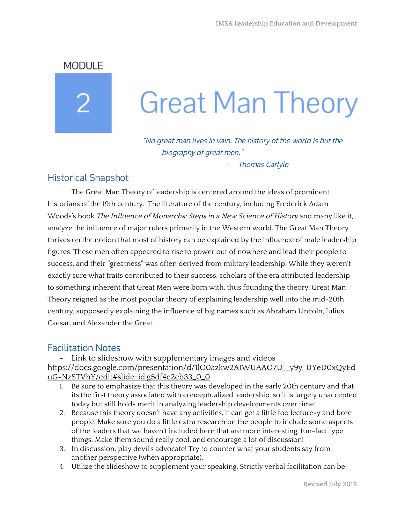**MODULE** 

# **Great Man Theory**

"No great man lives in vain. The history of the world is but the biography of great men."

Thomas Carlyle

## Historical Snapshot

The Great Man Theory of leadership is centered around the ideas of prominent historians of the 19th century. The literature of the century, including Frederick Adam Woods's book The Influence of Monarchs: Steps in <sup>a</sup> New Science of History and many like it, analyze the influence of major rulers primarily in the Western world. The Great Man Theory thrives on the notion that most of history can be explained by the influence of male leadership figures. These men often appeared to rise to power out of nowhere and lead their people to success, and their "greatness" was often derived from military leadership. While they weren't exactly sure what traits contributed to their success, scholars of the era attributed leadership to something inherent that Great Men were born with, thus founding the theory. Great Man Theory reigned as the most popular theory of explaining leadership well into the mid-20th century, supposedly explaining the influence of big names such as Abraham Lincoln, Julius Caesar, and Alexander the Great.

### Facilitation Notes

- Link to slideshow with supplementary images and videos [https://docs.google.com/presentation/d/1lO0azkw2AJWUAAO7U\\_\\_y9y-UYeD0xQyEd](https://docs.google.com/presentation/d/1lO0azkw2AJWUAAO7U__y9y-UYeD0xQyEduG-NzSTVhY/edit#slide=id.g5df4e2eb33_0_0) [uG-NzSTVhY/edit#slide=id.g5df4e2eb33\\_0\\_0](https://docs.google.com/presentation/d/1lO0azkw2AJWUAAO7U__y9y-UYeD0xQyEduG-NzSTVhY/edit#slide=id.g5df4e2eb33_0_0)

- 1. Be sure to emphasize that this theory was developed in the early 20th century and that its the first theory associated with conceptualized leadership, so it is largely unaccepted today but still holds merit in analyzing leadership developments over time.
- 2. Because this theory doesn't have any activities, it can get a little too lecture-y and bore people. Make sure you do a little extra research on the people to include some aspects of the leaders that we haven't included here that are more interesting, fun-fact type things. Make them sound really cool, and encourage a lot of discussion!
- 3. In discussion, play devil's advocate! Try to counter what your students say from another perspective (when appropriate).
- 4. Utilize the slideshow to supplement your speaking. Strictly verbal facilitation can be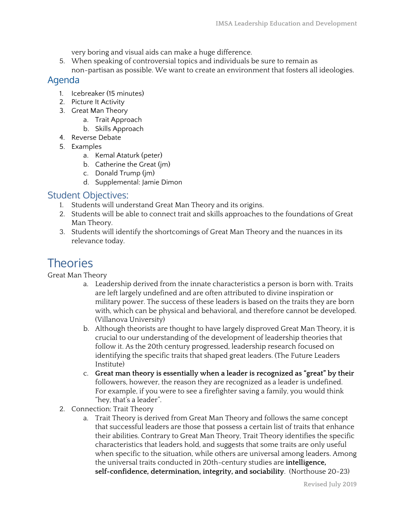very boring and visual aids can make a huge difference.

5. When speaking of controversial topics and individuals be sure to remain as non-partisan as possible. We want to create an environment that fosters all ideologies.

#### Agenda

- 1. Icebreaker (15 minutes)
- 2. Picture It Activity
- 3. Great Man Theory
	- a. Trait Approach
	- b. Skills Approach
- 4. Reverse Debate
- 5. Examples
	- a. Kemal Ataturk (peter)
	- b. Catherine the Great (jm)
	- c. Donald Trump (jm)
	- d. Supplemental: Jamie Dimon

#### Student Objectives:

- 1. Students will understand Great Man Theory and its origins.
- 2. Students will be able to connect trait and skills approaches to the foundations of Great Man Theory.
- 3. Students will identify the shortcomings of Great Man Theory and the nuances in its relevance today.

## **Theories**

Great Man Theory

- a. Leadership derived from the innate characteristics a person is born with. Traits are left largely undefined and are often attributed to divine inspiration or military power. The success of these leaders is based on the traits they are born with, which can be physical and behavioral, and therefore cannot be developed. (Villanova University)
- b. Although theorists are thought to have largely disproved Great Man Theory, it is crucial to our understanding of the development of leadership theories that follow it. As the 20th century progressed, leadership research focused on identifying the specific traits that shaped great leaders. (The Future Leaders Institute)
- c. **Great man theory is essentially when a leader is recognized as "great" by their** followers, however, the reason they are recognized as a leader is undefined. For example, if you were to see a firefighter saving a family, you would think "hey, that's a leader".
- 2. Connection: Trait Theory
	- a. Trait Theory is derived from Great Man Theory and follows the same concept that successful leaders are those that possess a certain list of traits that enhance their abilities. Contrary to Great Man Theory, Trait Theory identifies the specific characteristics that leaders hold, and suggests that some traits are only useful when specific to the situation, while others are universal among leaders. Among the universal traits conducted in 20th-century studies are **intelligence, self-confidence, determination, integrity, and sociability**. (Northouse 20-23)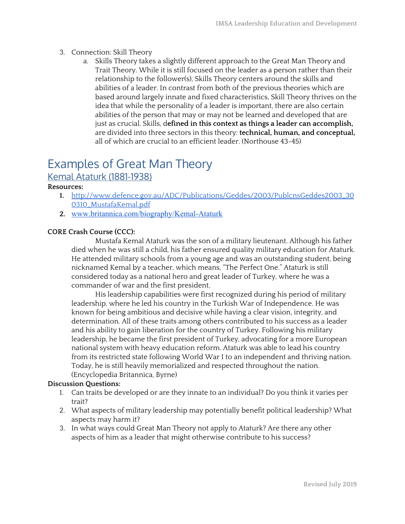- 3. Connection: Skill Theory
	- a. Skills Theory takes a slightly different approach to the Great Man Theory and Trait Theory. While it is still focused on the leader as a person rather than their relationship to the follower(s), Skills Theory centers around the skills and abilities of a leader. In contrast from both of the previous theories which are based around largely innate and fixed characteristics, Skill Theory thrives on the idea that while the personality of a leader is important, there are also certain abilities of the person that may or may not be learned and developed that are just as crucial. Skills, d**efined in this context as things a leader can accomplish,** are divided into three sectors in this theory: **technical, human, and conceptual,** all of which are crucial to an efficient leader. (Northouse 43-45)

## Examples of Great Man Theory

#### Kemal Ataturk (1881-1938)

#### **Resources:**

- **1.** [http://www.defence.gov.au/ADC/Publications/Geddes/2003/PublcnsGeddes2003\\_30](http://www.defence.gov.au/ADC/Publications/Geddes/2003/PublcnsGeddes2003_300310_MustafaKemal.pdf) [0310\\_MustafaKemal.pdf](http://www.defence.gov.au/ADC/Publications/Geddes/2003/PublcnsGeddes2003_300310_MustafaKemal.pdf)
- **2.** [www.britannica.com/biography/Kemal-Ataturk](http://www.britannica.com/biography/Kemal-Ataturk)

#### **CORE Crash Course (CCC):**

Mustafa Kemal Ataturk was the son of a military lieutenant. Although his father died when he was still a child, his father ensured quality military education for Ataturk. He attended military schools from a young age and was an outstanding student, being nicknamed Kemal by a teacher, which means, "The Perfect One." Ataturk is still considered today as a national hero and great leader of Turkey, where he was a commander of war and the first president.

His leadership capabilities were first recognized during his period of military leadership, where he led his country in the Turkish War of Independence. He was known for being ambitious and decisive while having a clear vision, integrity, and determination. All of these traits among others contributed to his success as a leader and his ability to gain liberation for the country of Turkey. Following his military leadership, he became the first president of Turkey, advocating for a more European national system with heavy education reform. Ataturk was able to lead his country from its restricted state following World War I to an independent and thriving nation. Today, he is still heavily memorialized and respected throughout the nation. (Encyclopedia Britannica, Byrne)

#### **Discussion Questions:**

- 1. Can traits be developed or are they innate to an individual? Do you think it varies per trait?
- 2. What aspects of military leadership may potentially benefit political leadership? What aspects may harm it?
- 3. In what ways could Great Man Theory not apply to Ataturk? Are there any other aspects of him as a leader that might otherwise contribute to his success?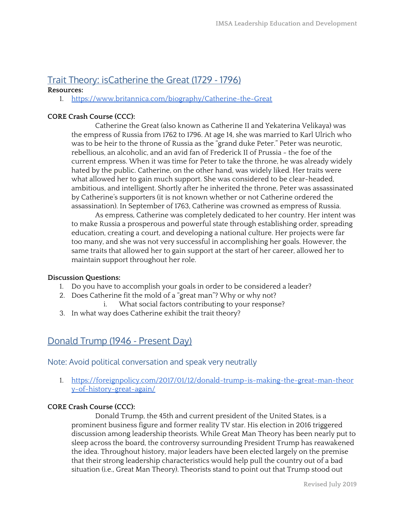## Trait Theory: isCatherine the Great (1729 - 1796)

#### **Resources:**

1. <https://www.britannica.com/biography/Catherine-the-Great>

#### **CORE Crash Course (CCC):**

Catherine the Great (also known as Catherine II and Yekaterina Velikaya) was the empress of Russia from 1762 to 1796. At age 14, she was married to Karl Ulrich who was to be heir to the throne of Russia as the "grand duke Peter." Peter was neurotic, rebellious, an alcoholic, and an avid fan of Frederick II of Prussia - the foe of the current empress. When it was time for Peter to take the throne, he was already widely hated by the public. Catherine, on the other hand, was widely liked. Her traits were what allowed her to gain much support. She was considered to be clear-headed, ambitious, and intelligent. Shortly after he inherited the throne, Peter was assassinated by Catherine's supporters (it is not known whether or not Catherine ordered the assassination). In September of 1763, Catherine was crowned as empress of Russia.

As empress, Catherine was completely dedicated to her country. Her intent was to make Russia a prosperous and powerful state through establishing order, spreading education, creating a court, and developing a national culture. Her projects were far too many, and she was not very successful in accomplishing her goals. However, the same traits that allowed her to gain support at the start of her career, allowed her to maintain support throughout her role.

#### **Discussion Questions:**

- 1. Do you have to accomplish your goals in order to be considered a leader?
- 2. Does Catherine fit the mold of a "great man"? Why or why not?
	- i. What social factors contributing to your response?
- 3. In what way does Catherine exhibit the trait theory?

## Donald Trump (1946 - Present Day)

Note: Avoid political conversation and speak very neutrally

1. [https://foreignpolicy.com/2017/01/12/donald-trump-is-making-the-great-man-theor](https://foreignpolicy.com/2017/01/12/donald-trump-is-making-the-great-man-theory-of-history-great-again/) [y-of-history-great-again/](https://foreignpolicy.com/2017/01/12/donald-trump-is-making-the-great-man-theory-of-history-great-again/)

#### **CORE Crash Course (CCC):**

Donald Trump, the 45th and current president of the United States, is a prominent business figure and former reality TV star. His election in 2016 triggered discussion among leadership theorists. While Great Man Theory has been nearly put to sleep across the board, the controversy surrounding President Trump has reawakened the idea. Throughout history, major leaders have been elected largely on the premise that their strong leadership characteristics would help pull the country out of a bad situation (i.e., Great Man Theory). Theorists stand to point out that Trump stood out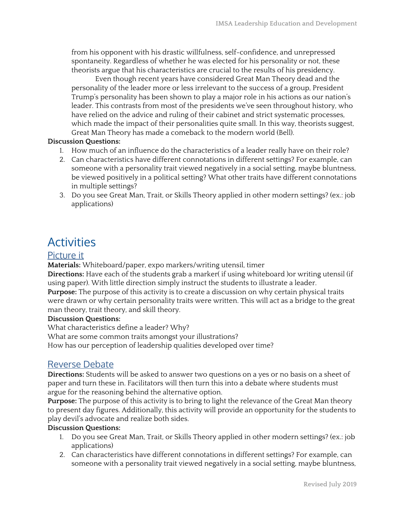from his opponent with his drastic willfulness, self-confidence, and unrepressed spontaneity. Regardless of whether he was elected for his personality or not, these theorists argue that his characteristics are crucial to the results of his presidency.

Even though recent years have considered Great Man Theory dead and the personality of the leader more or less irrelevant to the success of a group, President Trump's personality has been shown to play a major role in his actions as our nation's leader. This contrasts from most of the presidents we've seen throughout history, who have relied on the advice and ruling of their cabinet and strict systematic processes, which made the impact of their personalities quite small. In this way, theorists suggest, Great Man Theory has made a comeback to the modern world (Bell).

#### **Discussion Questions:**

- 1. How much of an influence do the characteristics of a leader really have on their role?
- 2. Can characteristics have different connotations in different settings? For example, can someone with a personality trait viewed negatively in a social setting, maybe bluntness, be viewed positively in a political setting? What other traits have different connotations in multiple settings?
- 3. Do you see Great Man, Trait, or Skills Theory applied in other modern settings? (ex.: job applications)

## Activities

#### Picture it

**Materials:** Whiteboard/paper, expo markers/writing utensil, timer

**Directions:** Have each of the students grab a marker( if using whiteboard )or writing utensil (if using paper). With little direction simply instruct the students to illustrate a leader.

**Purpose:** The purpose of this activity is to create a discussion on why certain physical traits were drawn or why certain personality traits were written. This will act as a bridge to the great man theory, trait theory, and skill theory.

#### **Discussion Questions:**

What characteristics define a leader? Why?

What are some common traits amongst your illustrations?

How has our perception of leadership qualities developed over time?

#### Reverse Debate

**Directions:** Students will be asked to answer two questions on a yes or no basis on a sheet of paper and turn these in. Facilitators will then turn this into a debate where students must argue for the reasoning behind the alternative option.

**Purpose:** The purpose of this activity is to bring to light the relevance of the Great Man theory to present day figures. Additionally, this activity will provide an opportunity for the students to play devil's advocate and realize both sides.

#### **Discussion Questions:**

- 1. Do you see Great Man, Trait, or Skills Theory applied in other modern settings? (ex.: job applications)
- 2. Can characteristics have different connotations in different settings? For example, can someone with a personality trait viewed negatively in a social setting, maybe bluntness,